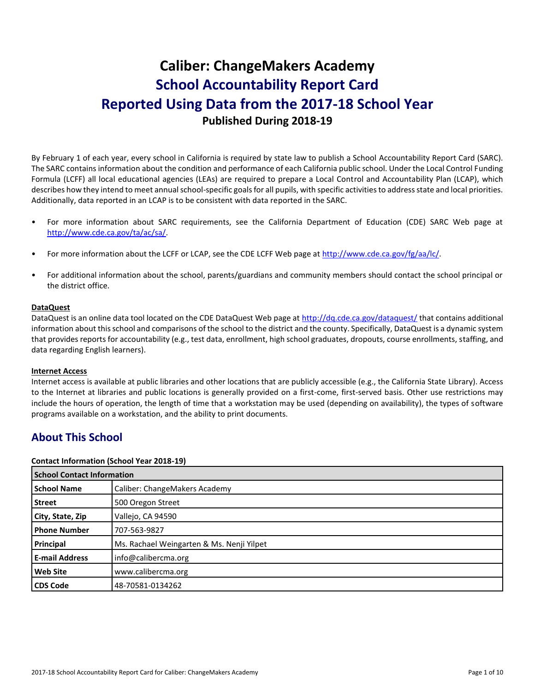# **Caliber: ChangeMakers Academy School Accountability Report Card Reported Using Data from the 2017-18 School Year Published During 2018-19**

By February 1 of each year, every school in California is required by state law to publish a School Accountability Report Card (SARC). The SARC contains information about the condition and performance of each California public school. Under the Local Control Funding Formula (LCFF) all local educational agencies (LEAs) are required to prepare a Local Control and Accountability Plan (LCAP), which describes how they intend to meet annual school-specific goals for all pupils, with specific activities to address state and local priorities. Additionally, data reported in an LCAP is to be consistent with data reported in the SARC.

- For more information about SARC requirements, see the California Department of Education (CDE) SARC Web page at [http://www.cde.ca.gov/ta/ac/sa/.](http://www.cde.ca.gov/ta/ac/sa/)
- For more information about the LCFF or LCAP, see the CDE LCFF Web page at [http://www.cde.ca.gov/fg/aa/lc/.](http://www.cde.ca.gov/fg/aa/lc/)
- For additional information about the school, parents/guardians and community members should contact the school principal or the district office.

## **DataQuest**

DataQuest is an online data tool located on the CDE DataQuest Web page a[t http://dq.cde.ca.gov/dataquest/](http://dq.cde.ca.gov/dataquest/) that contains additional information about this school and comparisons of the school to the district and the county. Specifically, DataQuest is a dynamic system that provides reports for accountability (e.g., test data, enrollment, high school graduates, dropouts, course enrollments, staffing, and data regarding English learners).

### **Internet Access**

Internet access is available at public libraries and other locations that are publicly accessible (e.g., the California State Library). Access to the Internet at libraries and public locations is generally provided on a first-come, first-served basis. Other use restrictions may include the hours of operation, the length of time that a workstation may be used (depending on availability), the types of software programs available on a workstation, and the ability to print documents.

## **About This School**

### **Contact Information (School Year 2018-19)**

| <b>School Contact Information</b> |                                           |
|-----------------------------------|-------------------------------------------|
| <b>School Name</b>                | Caliber: ChangeMakers Academy             |
| <b>Street</b>                     | 500 Oregon Street                         |
| City, State, Zip                  | Vallejo, CA 94590                         |
| <b>Phone Number</b>               | 707-563-9827                              |
| Principal                         | Ms. Rachael Weingarten & Ms. Nenji Yilpet |
| <b>E-mail Address</b>             | info@calibercma.org                       |
| <b>Web Site</b>                   | www.calibercma.org                        |
| <b>CDS Code</b>                   | 48-70581-0134262                          |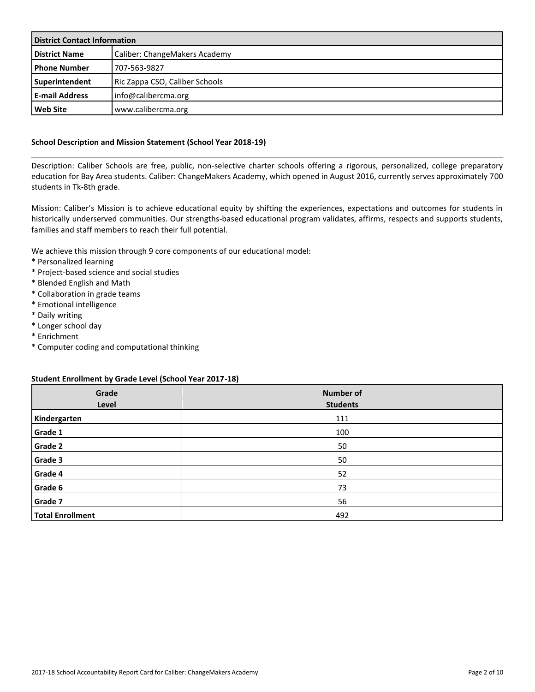| <b>District Contact Information</b> |                                |  |
|-------------------------------------|--------------------------------|--|
| <b>District Name</b>                | Caliber: ChangeMakers Academy  |  |
| l Phone Number                      | 707-563-9827                   |  |
| Superintendent                      | Ric Zappa CSO, Caliber Schools |  |
| <b>E-mail Address</b>               | info@calibercma.org            |  |
| <b>Web Site</b>                     | www.calibercma.org             |  |

## **School Description and Mission Statement (School Year 2018-19)**

Description: Caliber Schools are free, public, non-selective charter schools offering a rigorous, personalized, college preparatory education for Bay Area students. Caliber: ChangeMakers Academy, which opened in August 2016, currently serves approximately 700 students in Tk-8th grade.

Mission: Caliber's Mission is to achieve educational equity by shifting the experiences, expectations and outcomes for students in historically underserved communities. Our strengths-based educational program validates, affirms, respects and supports students, families and staff members to reach their full potential.

We achieve this mission through 9 core components of our educational model:

- \* Personalized learning
- \* Project-based science and social studies
- \* Blended English and Math
- \* Collaboration in grade teams
- \* Emotional intelligence
- \* Daily writing
- \* Longer school day
- \* Enrichment
- \* Computer coding and computational thinking

### **Student Enrollment by Grade Level (School Year 2017-18)**

| Grade<br>Level          | <b>Number of</b><br><b>Students</b> |
|-------------------------|-------------------------------------|
| Kindergarten            | 111                                 |
| Grade 1                 | 100                                 |
| <b>Grade 2</b>          | 50                                  |
| <b>Grade 3</b>          | 50                                  |
| Grade 4                 | 52                                  |
| Grade 6                 | 73                                  |
| Grade 7                 | 56                                  |
| <b>Total Enrollment</b> | 492                                 |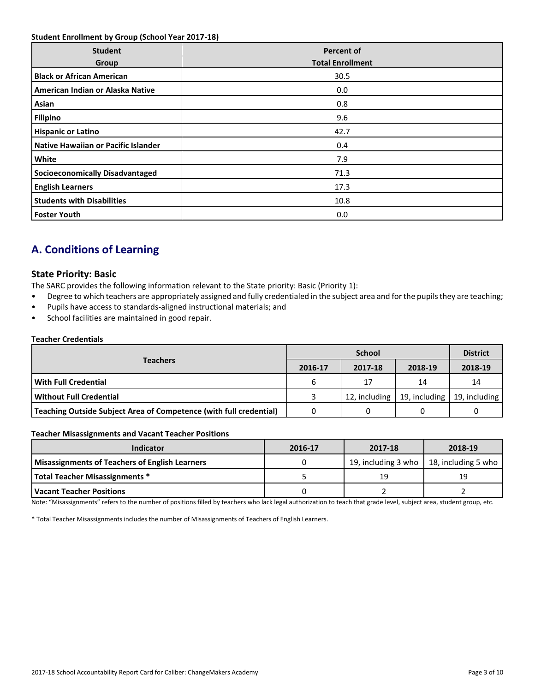## **Student Enrollment by Group (School Year 2017-18)**

| <b>Student</b><br>Group                | <b>Percent of</b><br><b>Total Enrollment</b> |
|----------------------------------------|----------------------------------------------|
| <b>Black or African American</b>       | 30.5                                         |
| American Indian or Alaska Native       | 0.0                                          |
| Asian                                  | 0.8                                          |
| <b>Filipino</b>                        | 9.6                                          |
| <b>Hispanic or Latino</b>              | 42.7                                         |
| Native Hawaiian or Pacific Islander    | 0.4                                          |
| White                                  | 7.9                                          |
| <b>Socioeconomically Disadvantaged</b> | 71.3                                         |
| <b>English Learners</b>                | 17.3                                         |
| <b>Students with Disabilities</b>      | 10.8                                         |
| <b>Foster Youth</b>                    | 0.0                                          |

## **A. Conditions of Learning**

## **State Priority: Basic**

The SARC provides the following information relevant to the State priority: Basic (Priority 1):

- Degree to which teachers are appropriately assigned and fully credentialed in the subject area and for the pupils they are teaching;
- Pupils have access to standards-aligned instructional materials; and
- School facilities are maintained in good repair.

### **Teacher Credentials**

|                                                                    |         | <b>District</b> |         |                               |
|--------------------------------------------------------------------|---------|-----------------|---------|-------------------------------|
| <b>Teachers</b>                                                    | 2016-17 | 2017-18         | 2018-19 | 2018-19                       |
| l With Full Credential                                             | 6       | 17              | 14      | 14                            |
| Without Full Credential                                            |         | 12, including   |         | 19, including   19, including |
| Teaching Outside Subject Area of Competence (with full credential) |         |                 |         |                               |
|                                                                    |         |                 |         |                               |

### **Teacher Misassignments and Vacant Teacher Positions**

| Indicator                                             | 2016-17 | 2017-18             | 2018-19             |  |  |
|-------------------------------------------------------|---------|---------------------|---------------------|--|--|
| <b>Misassignments of Teachers of English Learners</b> |         | 19, including 3 who | 18, including 5 who |  |  |
| <b>Total Teacher Misassignments *</b>                 |         | 19                  | 19                  |  |  |
| <b>Vacant Teacher Positions</b>                       |         |                     |                     |  |  |

at grade level, sut Note: "Misassignments" refers to the number of positions filled by teachers who lack legal authorization to teach that grade level, subject area, student group, etc.

\* Total Teacher Misassignments includes the number of Misassignments of Teachers of English Learners.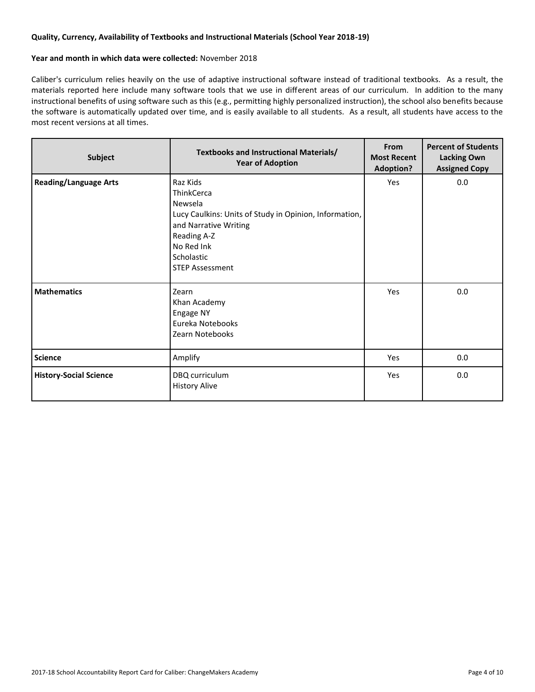## **Quality, Currency, Availability of Textbooks and Instructional Materials (School Year 2018-19)**

## **Year and month in which data were collected:** November 2018

Caliber's curriculum relies heavily on the use of adaptive instructional software instead of traditional textbooks. As a result, the materials reported here include many software tools that we use in different areas of our curriculum. In addition to the many instructional benefits of using software such as this (e.g., permitting highly personalized instruction), the school also benefits because the software is automatically updated over time, and is easily available to all students. As a result, all students have access to the most recent versions at all times.

| Subject                       | Textbooks and Instructional Materials/<br><b>Year of Adoption</b>                                                                                                                         | From<br><b>Most Recent</b><br><b>Adoption?</b> | <b>Percent of Students</b><br><b>Lacking Own</b><br><b>Assigned Copy</b> |
|-------------------------------|-------------------------------------------------------------------------------------------------------------------------------------------------------------------------------------------|------------------------------------------------|--------------------------------------------------------------------------|
| <b>Reading/Language Arts</b>  | Raz Kids<br>ThinkCerca<br>Newsela<br>Lucy Caulkins: Units of Study in Opinion, Information,<br>and Narrative Writing<br>Reading A-Z<br>No Red Ink<br>Scholastic<br><b>STEP Assessment</b> | Yes                                            | 0.0                                                                      |
| <b>Mathematics</b>            | Zearn<br>Khan Academy<br>Engage NY<br>Eureka Notebooks<br>Zearn Notebooks                                                                                                                 | Yes                                            | 0.0                                                                      |
| <b>Science</b>                | Amplify                                                                                                                                                                                   | Yes                                            | 0.0                                                                      |
| <b>History-Social Science</b> | DBQ curriculum<br><b>History Alive</b>                                                                                                                                                    | Yes                                            | 0.0                                                                      |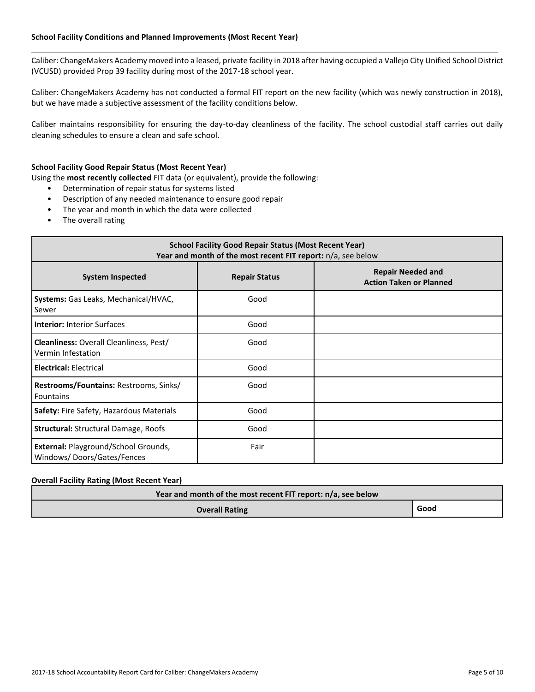## **School Facility Conditions and Planned Improvements (Most Recent Year)**

Caliber: ChangeMakers Academy moved into a leased, private facility in 2018 after having occupied a Vallejo City Unified School District (VCUSD) provided Prop 39 facility during most of the 2017-18 school year.

Caliber: ChangeMakers Academy has not conducted a formal FIT report on the new facility (which was newly construction in 2018), but we have made a subjective assessment of the facility conditions below.

Caliber maintains responsibility for ensuring the day-to-day cleanliness of the facility. The school custodial staff carries out daily cleaning schedules to ensure a clean and safe school.

### **School Facility Good Repair Status (Most Recent Year)**

Using the **most recently collected** FIT data (or equivalent), provide the following:

- Determination of repair status for systems listed
- Description of any needed maintenance to ensure good repair
- The year and month in which the data were collected
- The overall rating

| <b>School Facility Good Repair Status (Most Recent Year)</b><br>Year and month of the most recent FIT report: n/a, see below |                      |                                                            |  |  |
|------------------------------------------------------------------------------------------------------------------------------|----------------------|------------------------------------------------------------|--|--|
| <b>System Inspected</b>                                                                                                      | <b>Repair Status</b> | <b>Repair Needed and</b><br><b>Action Taken or Planned</b> |  |  |
| Systems: Gas Leaks, Mechanical/HVAC,<br>Sewer                                                                                | Good                 |                                                            |  |  |
| <b>Interior: Interior Surfaces</b>                                                                                           | Good                 |                                                            |  |  |
| <b>Cleanliness: Overall Cleanliness, Pest/</b><br>Vermin Infestation                                                         | Good                 |                                                            |  |  |
| <b>Electrical: Electrical</b>                                                                                                | Good                 |                                                            |  |  |
| Restrooms/Fountains: Restrooms, Sinks/<br><b>Fountains</b>                                                                   | Good                 |                                                            |  |  |
| Safety: Fire Safety, Hazardous Materials                                                                                     | Good                 |                                                            |  |  |
| <b>Structural: Structural Damage, Roofs</b>                                                                                  | Good                 |                                                            |  |  |
| External: Playground/School Grounds,<br>Windows/Doors/Gates/Fences                                                           | Fair                 |                                                            |  |  |

## **Overall Facility Rating (Most Recent Year)**

| Year and month of the most recent FIT report: n/a, see below |      |  |  |
|--------------------------------------------------------------|------|--|--|
| <b>Overall Rating</b>                                        | Good |  |  |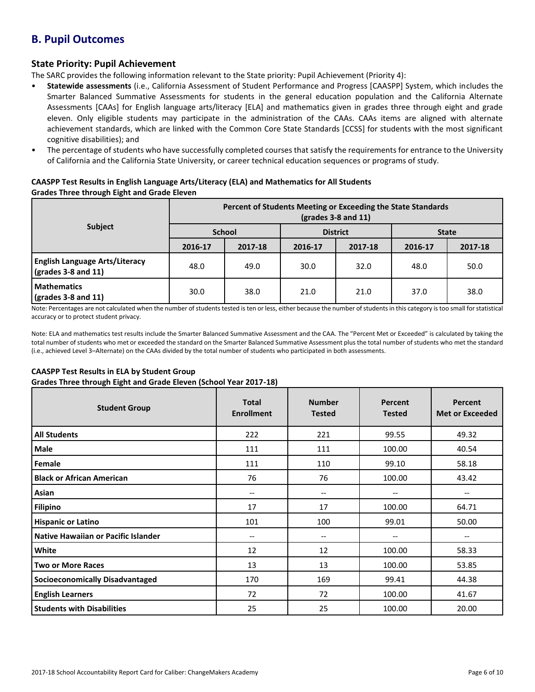## **B. Pupil Outcomes**

## **State Priority: Pupil Achievement**

The SARC provides the following information relevant to the State priority: Pupil Achievement (Priority 4):

- **Statewide assessments** (i.e., California Assessment of Student Performance and Progress [CAASPP] System, which includes the Smarter Balanced Summative Assessments for students in the general education population and the California Alternate Assessments [CAAs] for English language arts/literacy [ELA] and mathematics given in grades three through eight and grade eleven. Only eligible students may participate in the administration of the CAAs. CAAs items are aligned with alternate achievement standards, which are linked with the Common Core State Standards [CCSS] for students with the most significant cognitive disabilities); and
- The percentage of students who have successfully completed courses that satisfy the requirements for entrance to the University of California and the California State University, or career technical education sequences or programs of study.

## **CAASPP Test Results in English Language Arts/Literacy (ELA) and Mathematics for All Students Grades Three through Eight and Grade Eleven**

|                                                                      | Percent of Students Meeting or Exceeding the State Standards<br>$\left(\text{grades }3 - 8 \text{ and } 11\right)$ |         |                 |         |              |         |  |
|----------------------------------------------------------------------|--------------------------------------------------------------------------------------------------------------------|---------|-----------------|---------|--------------|---------|--|
| <b>Subject</b>                                                       | <b>School</b>                                                                                                      |         | <b>District</b> |         | <b>State</b> |         |  |
|                                                                      | 2016-17                                                                                                            | 2017-18 | 2016-17         | 2017-18 | 2016-17      | 2017-18 |  |
| <b>English Language Arts/Literacy</b><br>$\sqrt{grades}$ 3-8 and 11) | 48.0                                                                                                               | 49.0    | 30.0            | 32.0    | 48.0         | 50.0    |  |
| <b>Mathematics</b><br>$\sqrt{grades}$ 3-8 and 11)                    | 30.0                                                                                                               | 38.0    | 21.0            | 21.0    | 37.0         | 38.0    |  |

Note: Percentages are not calculated when the number of students tested is ten or less, either because the number of students in this category is too small for statistical accuracy or to protect student privacy.

Note: ELA and mathematics test results include the Smarter Balanced Summative Assessment and the CAA. The "Percent Met or Exceeded" is calculated by taking the total number of students who met or exceeded the standard on the Smarter Balanced Summative Assessment plus the total number of students who met the standard (i.e., achieved Level 3–Alternate) on the CAAs divided by the total number of students who participated in both assessments.

## **CAASPP Test Results in ELA by Student Group**

**Grades Three through Eight and Grade Eleven (School Year 2017-18)**

| <b>Student Group</b>                   | <b>Total</b><br><b>Enrollment</b> | <b>Number</b><br><b>Tested</b> | Percent<br><b>Tested</b> | <b>Percent</b><br><b>Met or Exceeded</b> |
|----------------------------------------|-----------------------------------|--------------------------------|--------------------------|------------------------------------------|
| <b>All Students</b>                    | 222                               | 221                            | 99.55                    | 49.32                                    |
| Male                                   | 111                               | 111                            | 100.00                   | 40.54                                    |
| Female                                 | 111                               | 110                            | 99.10                    | 58.18                                    |
| <b>Black or African American</b>       | 76                                | 76                             | 100.00                   | 43.42                                    |
| Asian                                  | --                                | --                             | $- -$                    | $\overline{\phantom{a}}$                 |
| <b>Filipino</b>                        | 17                                | 17                             | 100.00                   | 64.71                                    |
| <b>Hispanic or Latino</b>              | 101                               | 100                            | 99.01                    | 50.00                                    |
| Native Hawaiian or Pacific Islander    | --                                | --                             | $-$                      | $- -$                                    |
| White                                  | 12                                | 12                             | 100.00                   | 58.33                                    |
| <b>Two or More Races</b>               | 13                                | 13                             | 100.00                   | 53.85                                    |
| <b>Socioeconomically Disadvantaged</b> | 170                               | 169                            | 99.41                    | 44.38                                    |
| <b>English Learners</b>                | 72                                | 72                             | 100.00                   | 41.67                                    |
| <b>Students with Disabilities</b>      | 25                                | 25                             | 100.00                   | 20.00                                    |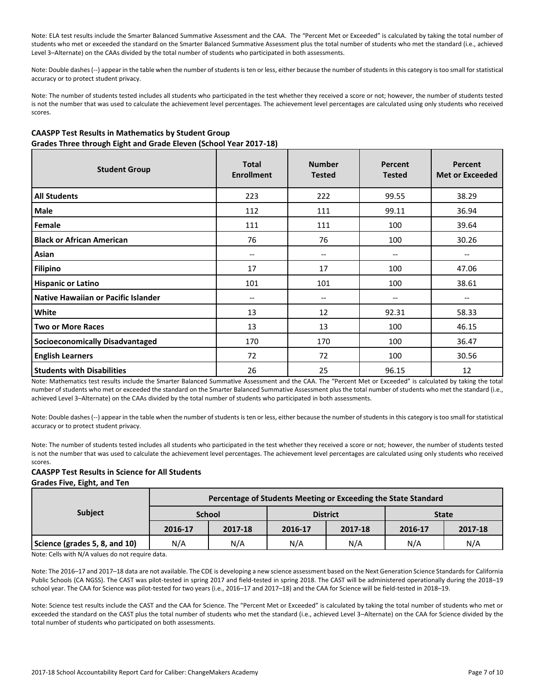Note: ELA test results include the Smarter Balanced Summative Assessment and the CAA. The "Percent Met or Exceeded" is calculated by taking the total number of students who met or exceeded the standard on the Smarter Balanced Summative Assessment plus the total number of students who met the standard (i.e., achieved Level 3–Alternate) on the CAAs divided by the total number of students who participated in both assessments.

Note: Double dashes (--) appear in the table when the number of students is ten or less, either because the number of students in this category is too small for statistical accuracy or to protect student privacy.

Note: The number of students tested includes all students who participated in the test whether they received a score or not; however, the number of students tested is not the number that was used to calculate the achievement level percentages. The achievement level percentages are calculated using only students who received scores.

## **CAASPP Test Results in Mathematics by Student Group Grades Three through Eight and Grade Eleven (School Year 2017-18)**

| <b>Student Group</b>                   | <b>Total</b><br><b>Enrollment</b> | <b>Number</b><br><b>Tested</b>      | <b>Percent</b><br><b>Tested</b> | <b>Percent</b><br><b>Met or Exceeded</b> |
|----------------------------------------|-----------------------------------|-------------------------------------|---------------------------------|------------------------------------------|
| <b>All Students</b>                    | 223                               | 222                                 | 99.55                           | 38.29                                    |
| Male                                   | 112                               | 111                                 | 99.11                           | 36.94                                    |
| Female                                 | 111                               | 111                                 | 100                             | 39.64                                    |
| <b>Black or African American</b>       | 76                                | 76                                  | 100                             | 30.26                                    |
| Asian                                  | --                                | $\hspace{0.05cm}$ $\hspace{0.05cm}$ | --                              | $\overline{\phantom{m}}$                 |
| <b>Filipino</b>                        | 17                                | 17                                  | 100                             | 47.06                                    |
| <b>Hispanic or Latino</b>              | 101                               | 101                                 | 100                             | 38.61                                    |
| Native Hawaiian or Pacific Islander    | --                                | $\qquad \qquad -$                   | --                              | $\overline{\phantom{m}}$                 |
| White                                  | 13                                | 12                                  | 92.31                           | 58.33                                    |
| <b>Two or More Races</b>               | 13                                | 13                                  | 100                             | 46.15                                    |
| <b>Socioeconomically Disadvantaged</b> | 170                               | 170                                 | 100                             | 36.47                                    |
| <b>English Learners</b>                | 72                                | 72                                  | 100                             | 30.56                                    |
| <b>Students with Disabilities</b>      | 26                                | 25                                  | 96.15                           | 12                                       |

Note: Mathematics test results include the Smarter Balanced Summative Assessment and the CAA. The "Percent Met or Exceeded" is calculated by taking the total number of students who met or exceeded the standard on the Smarter Balanced Summative Assessment plus the total number of students who met the standard (i.e., achieved Level 3–Alternate) on the CAAs divided by the total number of students who participated in both assessments.

Note: Double dashes (--) appear in the table when the number of students is ten or less, either because the number of students in this category is too small for statistical accuracy or to protect student privacy.

Note: The number of students tested includes all students who participated in the test whether they received a score or not; however, the number of students tested is not the number that was used to calculate the achievement level percentages. The achievement level percentages are calculated using only students who received scores.

### **CAASPP Test Results in Science for All Students Grades Five, Eight, and Ten**

| <b>Subject</b>                | Percentage of Students Meeting or Exceeding the State Standard |         |                 |         |              |         |  |  |  |
|-------------------------------|----------------------------------------------------------------|---------|-----------------|---------|--------------|---------|--|--|--|
|                               | <b>School</b>                                                  |         | <b>District</b> |         | <b>State</b> |         |  |  |  |
|                               | 2016-17                                                        | 2017-18 | 2016-17         | 2017-18 | 2016-17      | 2017-18 |  |  |  |
| Science (grades 5, 8, and 10) | N/A                                                            | N/A     | N/A             | N/A     | N/A          | N/A     |  |  |  |

Note: Cells with N/A values do not require data.

Note: The 2016–17 and 2017–18 data are not available. The CDE is developing a new science assessment based on the Next Generation Science Standards for California Public Schools (CA NGSS). The CAST was pilot-tested in spring 2017 and field-tested in spring 2018. The CAST will be administered operationally during the 2018–19 school year. The CAA for Science was pilot-tested for two years (i.e., 2016–17 and 2017–18) and the CAA for Science will be field-tested in 2018–19.

Note: Science test results include the CAST and the CAA for Science. The "Percent Met or Exceeded" is calculated by taking the total number of students who met or exceeded the standard on the CAST plus the total number of students who met the standard (i.e., achieved Level 3–Alternate) on the CAA for Science divided by the total number of students who participated on both assessments.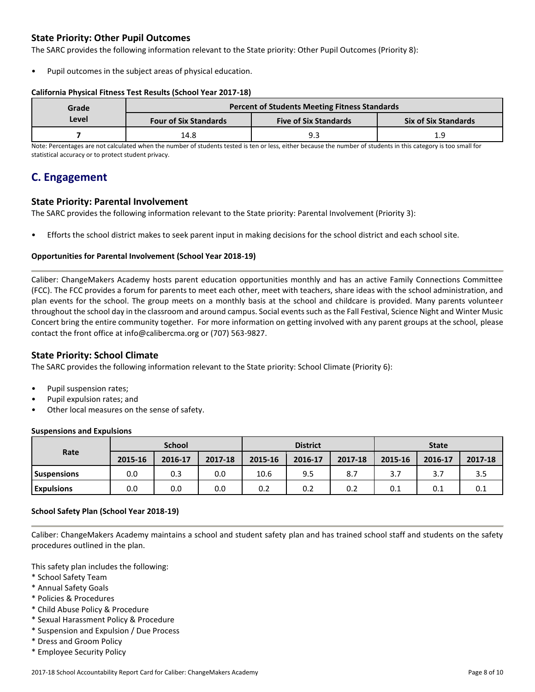## **State Priority: Other Pupil Outcomes**

The SARC provides the following information relevant to the State priority: Other Pupil Outcomes (Priority 8):

Pupil outcomes in the subject areas of physical education.

## **California Physical Fitness Test Results (School Year 2017-18)**

| Grade | <b>Percent of Students Meeting Fitness Standards</b> |                              |                             |  |  |  |  |
|-------|------------------------------------------------------|------------------------------|-----------------------------|--|--|--|--|
| Level | <b>Four of Six Standards</b>                         | <b>Five of Six Standards</b> | <b>Six of Six Standards</b> |  |  |  |  |
|       | 14.8                                                 | ∩ G                          | 1 C                         |  |  |  |  |

Note: Percentages are not calculated when the number of students tested is ten or less, either because the number of students in this category is too small for statistical accuracy or to protect student privacy.

## **C. Engagement**

## **State Priority: Parental Involvement**

The SARC provides the following information relevant to the State priority: Parental Involvement (Priority 3):

• Efforts the school district makes to seek parent input in making decisions for the school district and each school site.

## **Opportunities for Parental Involvement (School Year 2018-19)**

Caliber: ChangeMakers Academy hosts parent education opportunities monthly and has an active Family Connections Committee (FCC). The FCC provides a forum for parents to meet each other, meet with teachers, share ideas with the school administration, and plan events for the school. The group meets on a monthly basis at the school and childcare is provided. Many parents volunteer throughout the school day in the classroom and around campus. Social events such as the Fall Festival, Science Night and Winter Music Concert bring the entire community together. For more information on getting involved with any parent groups at the school, please contact the front office at info@calibercma.org or (707) 563-9827.

## **State Priority: School Climate**

The SARC provides the following information relevant to the State priority: School Climate (Priority 6):

- Pupil suspension rates;
- Pupil expulsion rates; and
- Other local measures on the sense of safety.

## **Suspensions and Expulsions**

|                    | <b>School</b> |         |         | <b>District</b> |         |         | <b>State</b> |         |         |
|--------------------|---------------|---------|---------|-----------------|---------|---------|--------------|---------|---------|
| Rate               | 2015-16       | 2016-17 | 2017-18 | 2015-16         | 2016-17 | 2017-18 | 2015-16      | 2016-17 | 2017-18 |
| <b>Suspensions</b> | 0.0           | 0.3     | 0.0     | 10.6            | 9.5     | 8.7     | 3.7          | 3.7     | 3.5     |
| <b>Expulsions</b>  | 0.0           | 0.0     | 0.0     | 0.2             | 0.2     | 0.2     | 0.1          | 0.1     | 0.1     |

### **School Safety Plan (School Year 2018-19)**

Caliber: ChangeMakers Academy maintains a school and student safety plan and has trained school staff and students on the safety procedures outlined in the plan.

This safety plan includes the following:

- \* School Safety Team
- \* Annual Safety Goals
- \* Policies & Procedures
- \* Child Abuse Policy & Procedure
- \* Sexual Harassment Policy & Procedure
- \* Suspension and Expulsion / Due Process
- \* Dress and Groom Policy
- \* Employee Security Policy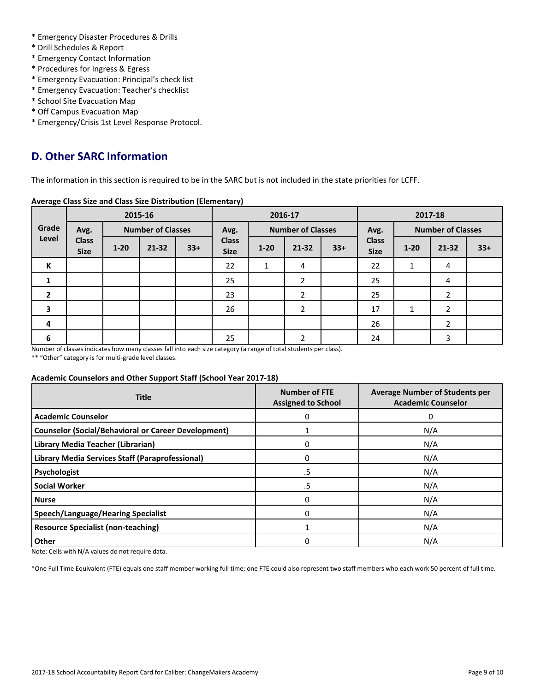- \* Emergency Disaster Procedures & Drills
- \* Drill Schedules & Report
- \* Emergency Contact Information
- \* Procedures for Ingress & Egress
- \* Emergency Evacuation: Principal's check list
- \* Emergency Evacuation: Teacher's checklist
- \* School Site Evacuation Map
- \* Off Campus Evacuation Map
- \* Emergency/Crisis 1st Level Response Protocol.

## **D. Other SARC Information**

The information in this section is required to be in the SARC but is not included in the state priorities for LCFF.

## **Average Class Size and Class Size Distribution (Elementary)**

|                         | 2015-16                     |          |                          | 2016-17 |                             |                          |                | 2017-18 |                             |          |                |       |
|-------------------------|-----------------------------|----------|--------------------------|---------|-----------------------------|--------------------------|----------------|---------|-----------------------------|----------|----------------|-------|
| Grade                   | Avg.                        |          | <b>Number of Classes</b> |         | Avg.                        | <b>Number of Classes</b> |                | Avg.    | <b>Number of Classes</b>    |          |                |       |
| Level                   | <b>Class</b><br><b>Size</b> | $1 - 20$ | $21 - 32$                | $33+$   | <b>Class</b><br><b>Size</b> | $1 - 20$                 | $21 - 32$      | $33+$   | <b>Class</b><br><b>Size</b> | $1 - 20$ | $21 - 32$      | $33+$ |
| К                       |                             |          |                          |         | 22                          | 1                        | 4              |         | 22                          | 1        | 4              |       |
|                         |                             |          |                          |         | 25                          |                          | $\overline{2}$ |         | 25                          |          | 4              |       |
| $\overline{2}$          |                             |          |                          |         | 23                          |                          | 2              |         | 25                          |          | 2              |       |
| $\overline{\mathbf{3}}$ |                             |          |                          |         | 26                          |                          | 2              |         | 17                          | 1        | $\overline{2}$ |       |
| 4                       |                             |          |                          |         |                             |                          |                |         | 26                          |          | $\overline{2}$ |       |
| 6<br>. .                | $\sim$ $\sim$               |          | $-1$                     |         | 25                          | $\sim$ $\sim$            | 2              |         | 24                          |          | 3              |       |

Number of classes indicates how many classes fall into each size category (a range of total students per class).

\*\* "Other" category is for multi-grade level classes.

### **Academic Counselors and Other Support Staff (School Year 2017-18)**

| <b>Title</b>                                               | <b>Number of FTE</b><br><b>Assigned to School</b> | <b>Average Number of Students per</b><br><b>Academic Counselor</b> |
|------------------------------------------------------------|---------------------------------------------------|--------------------------------------------------------------------|
| <b>Academic Counselor</b>                                  | 0                                                 | O                                                                  |
| <b>Counselor (Social/Behavioral or Career Development)</b> |                                                   | N/A                                                                |
| Library Media Teacher (Librarian)                          |                                                   | N/A                                                                |
| Library Media Services Staff (Paraprofessional)            | <sup>0</sup>                                      | N/A                                                                |
| Psychologist                                               | .5                                                | N/A                                                                |
| <b>Social Worker</b>                                       | .5                                                | N/A                                                                |
| <b>Nurse</b>                                               | 0                                                 | N/A                                                                |
| <b>Speech/Language/Hearing Specialist</b>                  | 0                                                 | N/A                                                                |
| <b>Resource Specialist (non-teaching)</b>                  |                                                   | N/A                                                                |
| Other                                                      | 0                                                 | N/A                                                                |

Note: Cells with N/A values do not require data.

\*One Full Time Equivalent (FTE) equals one staff member working full time; one FTE could also represent two staff members who each work 50 percent of full time.